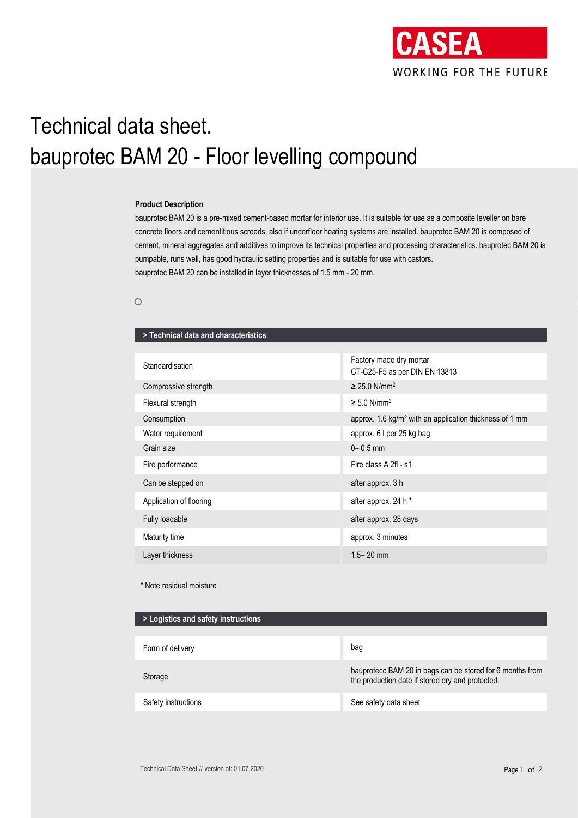

# Technical data sheet. bauprotec BAM 20 - Floor levelling compound

#### **Product Description**

⌒

bauprotec BAM 20 is a pre-mixed cement-based mortar for interior use. It is suitable for use as a composite leveller on bare concrete floors and cementitious screeds, also if underfloor heating systems are installed. bauprotec BAM 20 is composed of cement, mineral aggregates and additives to improve its technical properties and processing characteristics. bauprotec BAM 20 is pumpable, runs well, has good hydraulic setting properties and is suitable for use with castors. bauprotec BAM 20 can be installed in layer thicknesses of 1.5 mm - 20 mm.

## **> Technical data and characteristics**

| Standardisation         | Factory made dry mortar<br>CT-C25-F5 as per DIN EN 13813            |  |
|-------------------------|---------------------------------------------------------------------|--|
| Compressive strength    | $\geq$ 25.0 N/mm <sup>2</sup>                                       |  |
| Flexural strength       | $\geq 5.0$ N/mm <sup>2</sup>                                        |  |
| Consumption             | approx. 1.6 kg/m <sup>2</sup> with an application thickness of 1 mm |  |
| Water requirement       | approx. 6 I per 25 kg bag                                           |  |
| Grain size              | $0 - 0.5$ mm                                                        |  |
| Fire performance        | Fire class A 2fl - s1                                               |  |
| Can be stepped on       | after approx. 3 h                                                   |  |
| Application of flooring | after approx. 24 h *                                                |  |
| Fully loadable          | after approx. 28 days                                               |  |
| Maturity time           | approx. 3 minutes                                                   |  |
| Layer thickness         | $1.5 - 20$ mm                                                       |  |
|                         |                                                                     |  |

\* Note residual moisture

| > Logistics and safety instructions |                                                                                                               |
|-------------------------------------|---------------------------------------------------------------------------------------------------------------|
|                                     |                                                                                                               |
| Form of delivery                    | bag                                                                                                           |
| Storage                             | bauprotecc BAM 20 in bags can be stored for 6 months from<br>the production date if stored dry and protected. |
| Safety instructions                 | See safety data sheet                                                                                         |